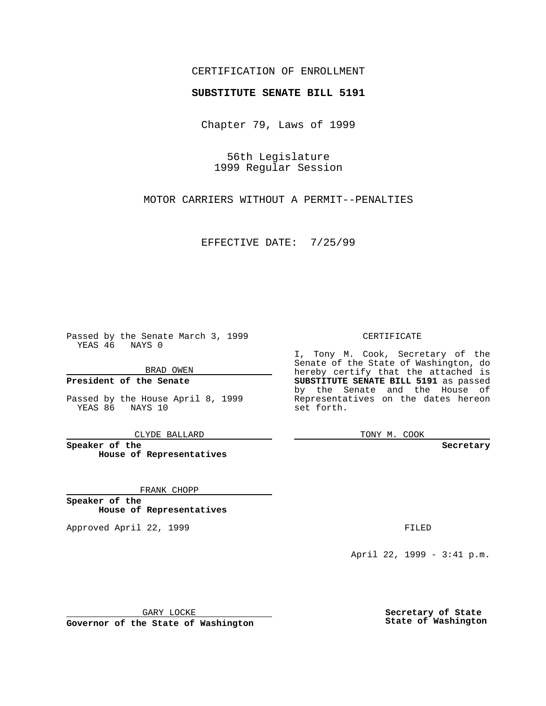### CERTIFICATION OF ENROLLMENT

# **SUBSTITUTE SENATE BILL 5191**

Chapter 79, Laws of 1999

56th Legislature 1999 Regular Session

MOTOR CARRIERS WITHOUT A PERMIT--PENALTIES

EFFECTIVE DATE: 7/25/99

Passed by the Senate March 3, 1999 YEAS 46 NAYS 0

BRAD OWEN

**President of the Senate**

Passed by the House April 8, 1999 YEAS 86 NAYS 10

CLYDE BALLARD

**Speaker of the House of Representatives**

FRANK CHOPP

**Speaker of the House of Representatives**

Approved April 22, 1999 **FILED** 

#### CERTIFICATE

I, Tony M. Cook, Secretary of the Senate of the State of Washington, do hereby certify that the attached is **SUBSTITUTE SENATE BILL 5191** as passed by the Senate and the House of Representatives on the dates hereon set forth.

TONY M. COOK

**Secretary**

April 22, 1999 - 3:41 p.m.

GARY LOCKE

**Governor of the State of Washington**

**Secretary of State State of Washington**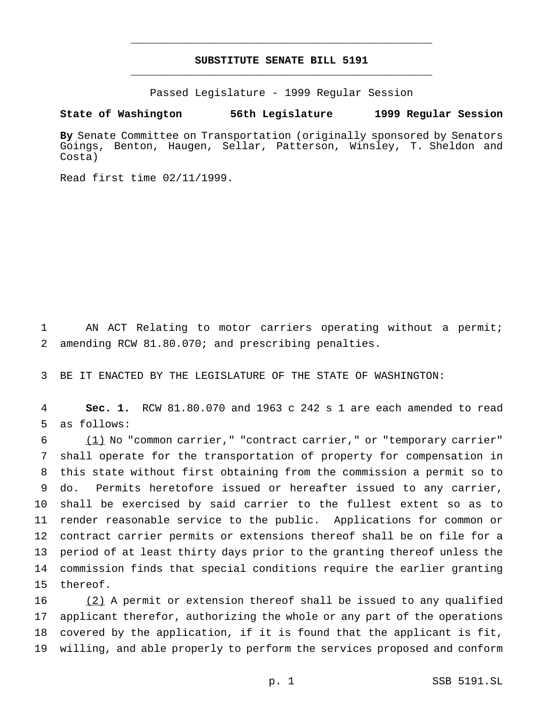## **SUBSTITUTE SENATE BILL 5191** \_\_\_\_\_\_\_\_\_\_\_\_\_\_\_\_\_\_\_\_\_\_\_\_\_\_\_\_\_\_\_\_\_\_\_\_\_\_\_\_\_\_\_\_\_\_\_

\_\_\_\_\_\_\_\_\_\_\_\_\_\_\_\_\_\_\_\_\_\_\_\_\_\_\_\_\_\_\_\_\_\_\_\_\_\_\_\_\_\_\_\_\_\_\_

Passed Legislature - 1999 Regular Session

#### **State of Washington 56th Legislature 1999 Regular Session**

**By** Senate Committee on Transportation (originally sponsored by Senators Goings, Benton, Haugen, Sellar, Patterson, Winsley, T. Sheldon and Costa)

Read first time 02/11/1999.

 AN ACT Relating to motor carriers operating without a permit; amending RCW 81.80.070; and prescribing penalties.

BE IT ENACTED BY THE LEGISLATURE OF THE STATE OF WASHINGTON:

 **Sec. 1.** RCW 81.80.070 and 1963 c 242 s 1 are each amended to read as follows:

 (1) No "common carrier," "contract carrier," or "temporary carrier" shall operate for the transportation of property for compensation in this state without first obtaining from the commission a permit so to do. Permits heretofore issued or hereafter issued to any carrier, shall be exercised by said carrier to the fullest extent so as to render reasonable service to the public. Applications for common or contract carrier permits or extensions thereof shall be on file for a period of at least thirty days prior to the granting thereof unless the commission finds that special conditions require the earlier granting thereof.

16 (2) A permit or extension thereof shall be issued to any qualified applicant therefor, authorizing the whole or any part of the operations covered by the application, if it is found that the applicant is fit, willing, and able properly to perform the services proposed and conform